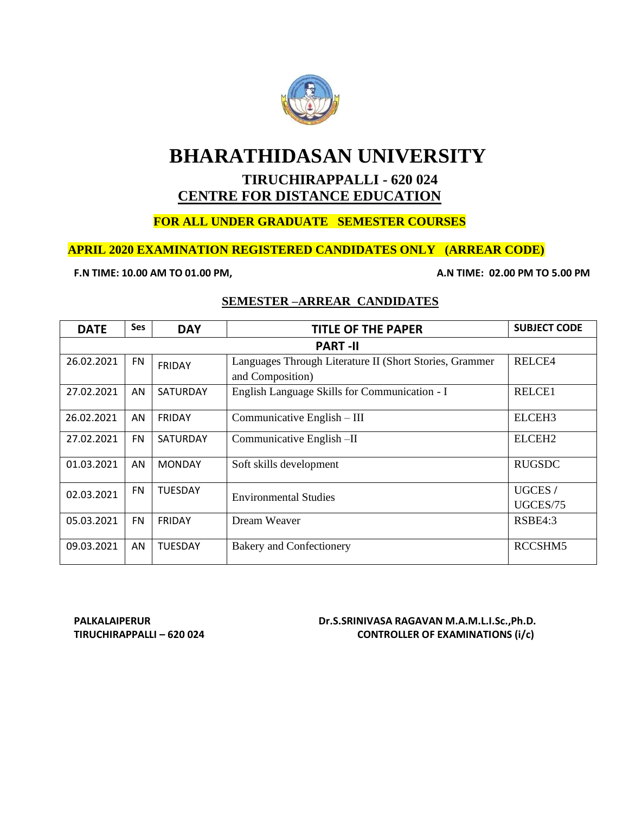

# **BHARATHIDASAN UNIVERSITY**

### **TIRUCHIRAPPALLI - 620 024 CENTRE FOR DISTANCE EDUCATION**

#### **FOR ALL UNDER GRADUATE SEMESTER COURSES**

#### **APRIL 2020 EXAMINATION REGISTERED CANDIDATES ONLY (ARREAR CODE)**

**F.N TIME: 10.00 AM TO 01.00 PM, A.N TIME: 02.00 PM TO 5.00 PM**

| <b>DATE</b>    | <b>Ses</b> | <b>DAY</b>     | <b>TITLE OF THE PAPER</b>                               | <b>SUBJECT CODE</b> |  |  |
|----------------|------------|----------------|---------------------------------------------------------|---------------------|--|--|
| <b>PART-II</b> |            |                |                                                         |                     |  |  |
| 26.02.2021     | <b>FN</b>  | <b>FRIDAY</b>  | Languages Through Literature II (Short Stories, Grammer | RELCE4              |  |  |
|                |            |                | and Composition)                                        |                     |  |  |
| 27.02.2021     | AN         | SATURDAY       | English Language Skills for Communication - I           | RELCE1              |  |  |
| 26.02.2021     | AN         | <b>FRIDAY</b>  | Communicative English $-$ III                           | ELCEH3              |  |  |
| 27.02.2021     | <b>FN</b>  | SATURDAY       | Communicative English -II                               | ELCEH <sub>2</sub>  |  |  |
| 01.03.2021     | AN         | <b>MONDAY</b>  | Soft skills development                                 | <b>RUGSDC</b>       |  |  |
| 02.03.2021     | <b>FN</b>  | <b>TUESDAY</b> | <b>Environmental Studies</b>                            | UGCES /             |  |  |
|                |            |                |                                                         | UGCES/75            |  |  |
| 05.03.2021     | <b>FN</b>  | FRIDAY         | Dream Weaver                                            | RSBE4:3             |  |  |
| 09.03.2021     | AN.        | <b>TUESDAY</b> | <b>Bakery and Confectionery</b>                         | RCCSHM5             |  |  |

#### **SEMESTER –ARREAR CANDIDATES**

**PALKALAIPERUR Dr.S.SRINIVASA RAGAVAN M.A.M.L.I.Sc.,Ph.D. TIRUCHIRAPPALLI – 620 024 CONTROLLER OF EXAMINATIONS (i/c)**